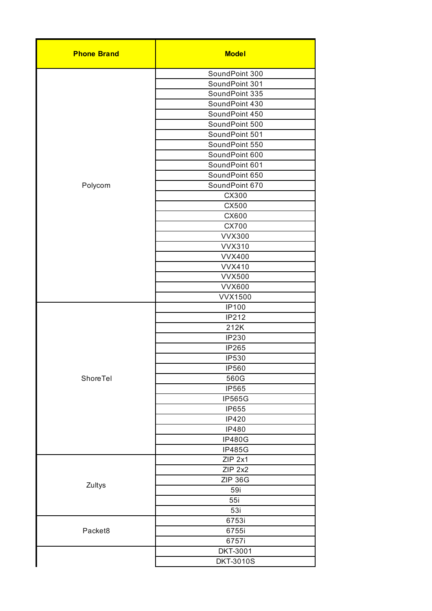| <b>Phone Brand</b> | <b>Model</b>     |
|--------------------|------------------|
|                    | SoundPoint 300   |
|                    | SoundPoint 301   |
|                    | SoundPoint 335   |
|                    | SoundPoint 430   |
|                    | SoundPoint 450   |
|                    | SoundPoint 500   |
|                    | SoundPoint 501   |
|                    | SoundPoint 550   |
|                    | SoundPoint 600   |
|                    | SoundPoint 601   |
|                    | SoundPoint 650   |
| Polycom            | SoundPoint 670   |
|                    | CX300            |
|                    | CX500            |
|                    | CX600            |
|                    | CX700            |
|                    | <b>VVX300</b>    |
|                    | <b>VVX310</b>    |
|                    | <b>VVX400</b>    |
|                    | <b>VVX410</b>    |
|                    | <b>VVX500</b>    |
|                    | <b>VVX600</b>    |
|                    | <b>VVX1500</b>   |
|                    | <b>IP100</b>     |
|                    |                  |
|                    | <b>IP212</b>     |
|                    | 212K             |
|                    | <b>IP230</b>     |
|                    | IP265            |
|                    | IP530            |
|                    | <b>IP560</b>     |
| ShoreTel           | 560G             |
|                    | <b>IP565</b>     |
|                    | <b>IP565G</b>    |
|                    | <b>IP655</b>     |
|                    | IP420            |
|                    | <b>IP480</b>     |
|                    | <b>IP480G</b>    |
|                    | <b>IP485G</b>    |
|                    | ZIP 2x1          |
|                    | $ZIP$ 2x2        |
|                    | <b>ZIP 36G</b>   |
| Zultys             | 59i              |
|                    | 55i              |
|                    | 53i              |
|                    | 6753i            |
| Packet8            | 6755i            |
|                    | 6757i            |
|                    | <b>DKT-3001</b>  |
|                    | <b>DKT-3010S</b> |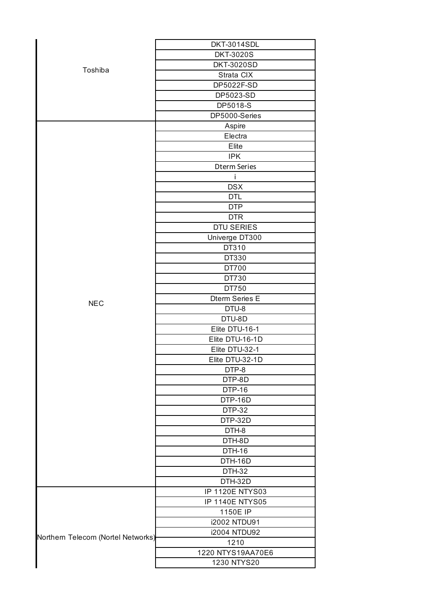|                                    | DKT-3014SDL            |
|------------------------------------|------------------------|
|                                    | <b>DKT-3020S</b>       |
|                                    | <b>DKT-3020SD</b>      |
| Toshiba                            | Strata CIX             |
|                                    | DP5022F-SD             |
|                                    | DP5023-SD              |
|                                    | DP5018-S               |
|                                    | DP5000-Series          |
|                                    | Aspire                 |
|                                    | Electra                |
|                                    | Elite                  |
|                                    | <b>IPK</b>             |
|                                    | <b>Dterm Series</b>    |
|                                    | $\mathbf{i}$           |
|                                    | <b>DSX</b>             |
|                                    | <b>DTL</b>             |
|                                    | <b>DTP</b>             |
|                                    | <b>DTR</b>             |
|                                    | <b>DTU SERIES</b>      |
|                                    | Univerge DT300         |
|                                    | DT310                  |
|                                    | DT330                  |
|                                    | DT700                  |
|                                    | DT730                  |
|                                    | DT750                  |
|                                    | Dterm Series E         |
| <b>NEC</b>                         | DTU-8                  |
|                                    | DTU-8D                 |
|                                    | Elite DTU-16-1         |
|                                    | Elite DTU-16-1D        |
|                                    | Elite DTU-32-1         |
|                                    | Elite DTU-32-1D        |
|                                    | DTP-8                  |
|                                    | DTP-8D                 |
|                                    | DTP-16                 |
|                                    | DTP-16D                |
|                                    | <b>DTP-32</b>          |
|                                    | DTP-32D                |
|                                    | DTH-8                  |
|                                    | DTH-8D                 |
|                                    | DTH-16                 |
|                                    | DTH-16D                |
|                                    | DTH-32                 |
|                                    | DTH-32D                |
|                                    | <b>IP 1120E NTYS03</b> |
|                                    | <b>IP 1140E NTYS05</b> |
|                                    | 1150E IP               |
|                                    | i2002 NTDU91           |
|                                    | i2004 NTDU92           |
| Northern Telecom (Nortel Networks) | 1210                   |
|                                    | 1220 NTYS19AA70E6      |
|                                    | 1230 NTYS20            |
|                                    |                        |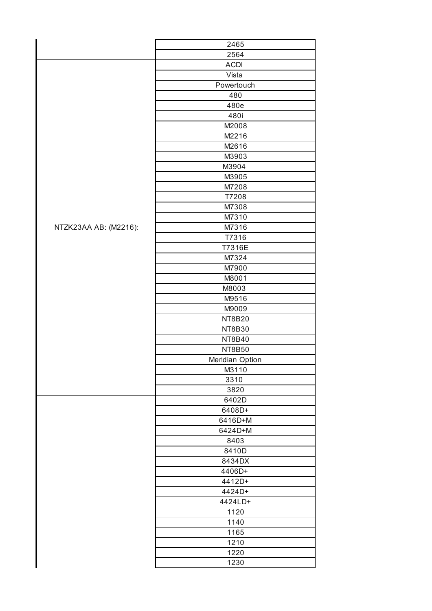|                       | 2465            |
|-----------------------|-----------------|
|                       | 2564            |
|                       | <b>ACDI</b>     |
|                       | Vista           |
|                       | Powertouch      |
|                       | 480             |
|                       | 480e            |
|                       | 480i            |
|                       | M2008           |
|                       | M2216           |
|                       | M2616           |
|                       | M3903           |
|                       | M3904           |
|                       | M3905           |
|                       | M7208           |
|                       | T7208           |
|                       | M7308           |
|                       | M7310           |
| NTZK23AA AB: (M2216): | M7316           |
|                       | T7316           |
|                       | T7316E          |
|                       |                 |
|                       | M7324<br>M7900  |
|                       |                 |
|                       | M8001           |
|                       | M8003           |
|                       | M9516           |
|                       | M9009           |
|                       | <b>NT8B20</b>   |
|                       | <b>NT8B30</b>   |
|                       | <b>NT8B40</b>   |
|                       | <b>NT8B50</b>   |
|                       | Meridian Option |
|                       | M3110           |
|                       | 3310            |
|                       | 3820            |
|                       | 6402D           |
|                       | 6408D+          |
|                       | 6416D+M         |
|                       | 6424D+M         |
|                       | 8403            |
|                       | 8410D           |
|                       | 8434DX          |
|                       | 4406D+          |
|                       | 4412D+          |
|                       | 4424D+          |
|                       | 4424LD+         |
|                       | 1120            |
|                       | 1140            |
|                       | 1165            |
|                       | 1210            |
|                       | 1220            |
|                       | 1230            |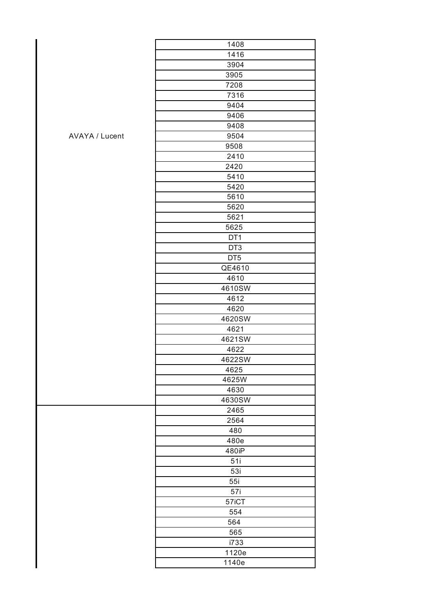|                       | 1408            |
|-----------------------|-----------------|
|                       | 1416            |
|                       | 3904            |
|                       | 3905            |
|                       | 7208            |
|                       | 7316            |
|                       | 9404            |
|                       | 9406            |
|                       | 9408            |
| <b>AVAYA / Lucent</b> | 9504            |
|                       | 9508            |
|                       | 2410            |
|                       | 2420            |
|                       | 5410            |
|                       | 5420            |
|                       | 5610            |
|                       | 5620            |
|                       | 5621            |
|                       | 5625            |
|                       | DT1             |
|                       | DT <sub>3</sub> |
|                       | DT <sub>5</sub> |
|                       | QE4610          |
|                       | 4610            |
|                       | 4610SW          |
|                       | 4612            |
|                       | 4620            |
|                       |                 |
|                       | 4620SW<br>4621  |
|                       |                 |
|                       | 4621SW          |
|                       | 4622            |
|                       | 4622SW          |
|                       | 4625            |
|                       | 4625W           |
|                       | 4630            |
|                       | 4630SW          |
|                       | 2465            |
|                       | 2564            |
|                       | 480             |
|                       | 480e            |
|                       | 480iP           |
|                       | 51i             |
|                       | 53i             |
|                       | 55i             |
|                       | 57i             |
|                       | 57iCT           |
|                       | 554             |
|                       | 564             |
|                       | 565             |
|                       | i733            |
|                       | 1120e           |
|                       | 1140e           |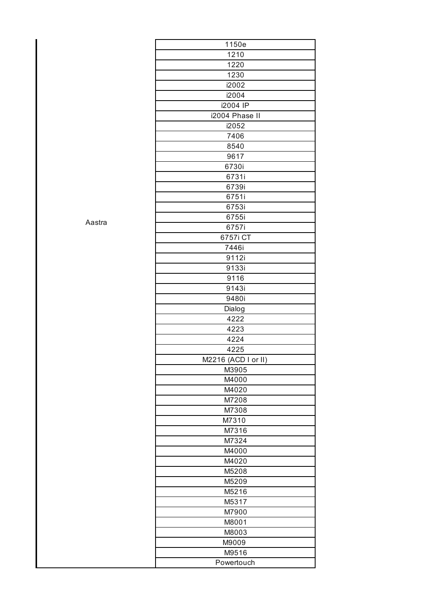| 1150e               |
|---------------------|
| $\overline{1210}$   |
| 1220                |
| 1230                |
| i2002               |
| i2004               |
| i2004 IP            |
| i2004 Phase II      |
| i2052               |
| 7406                |
| 8540                |
| 9617                |
| 6730i               |
| 6731i               |
| 6739i               |
| 6751i               |
| 6753i               |
| 6755i               |
| 6757i               |
| 6757i CT            |
| 7446i               |
| 9112i               |
| $\overline{9133}$ i |
| 9116                |
| 9143i               |
| 9480i               |
| Dialog              |
| 4222                |
| 4223                |
| 4224                |
| 4225                |
| M2216 (ACD I or II) |
| M3905               |
| M4000               |
| M4020               |
| M7208               |
| M7308               |
| M7310               |
| M7316               |
| M7324               |
| M4000               |
| M4020               |
| M5208               |
| M5209               |
| M5216               |
| M5317               |
| M7900               |
| M8001               |
| M8003               |
| M9009               |
| M9516               |
| Powertouch          |

Aastra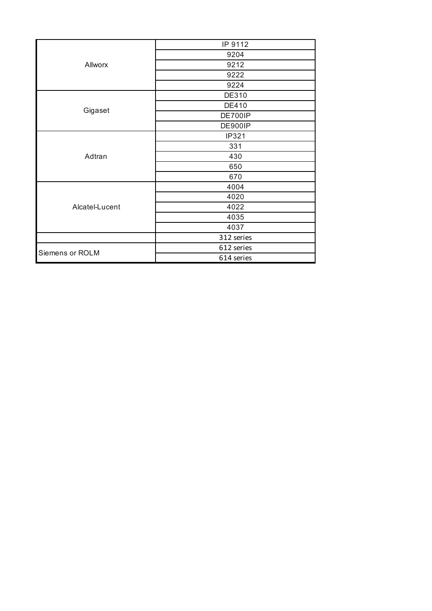| Allworx         | IP 9112    |
|-----------------|------------|
|                 | 9204       |
|                 | 9212       |
|                 | 9222       |
|                 | 9224       |
|                 | DE310      |
|                 | DE410      |
| Gigaset         | DE700IP    |
|                 | DE900IP    |
|                 | IP321      |
|                 | 331        |
| Adtran          | 430        |
|                 | 650        |
|                 | 670        |
| Alcatel-Lucent  | 4004       |
|                 | 4020       |
|                 | 4022       |
|                 | 4035       |
|                 | 4037       |
|                 | 312 series |
|                 | 612 series |
| Siemens or ROLM | 614 series |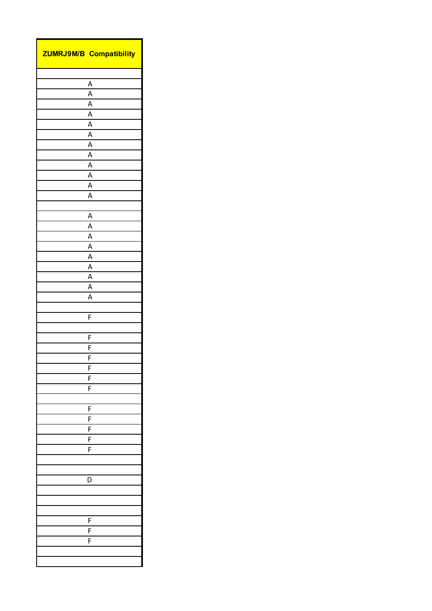| <b>ZUMRJ9M/B Compatibility</b>            |  |
|-------------------------------------------|--|
|                                           |  |
| A                                         |  |
| $\overline{\mathsf{A}}$<br>$\overline{A}$ |  |
| $\overline{A}$                            |  |
| $\overline{A}$                            |  |
| $\overline{A}$                            |  |
| $\overline{A}$                            |  |
| $\overline{A}$                            |  |
| $\overline{A}$                            |  |
| $\overline{\mathsf{A}}$                   |  |
| $\overline{\mathsf{A}}$<br>$\overline{A}$ |  |
|                                           |  |
| A                                         |  |
| $\overline{A}$                            |  |
| $\overline{A}$                            |  |
| A                                         |  |
| $\overline{A}$                            |  |
| A                                         |  |
| A                                         |  |
| A                                         |  |
| A                                         |  |
| F                                         |  |
|                                           |  |
| F                                         |  |
| F                                         |  |
| F                                         |  |
| h                                         |  |
| F                                         |  |
| F                                         |  |
|                                           |  |
| F                                         |  |
| F<br>F                                    |  |
| F                                         |  |
| F                                         |  |
|                                           |  |
|                                           |  |
| D                                         |  |
|                                           |  |
|                                           |  |
|                                           |  |
|                                           |  |
| F                                         |  |
| F                                         |  |
| F                                         |  |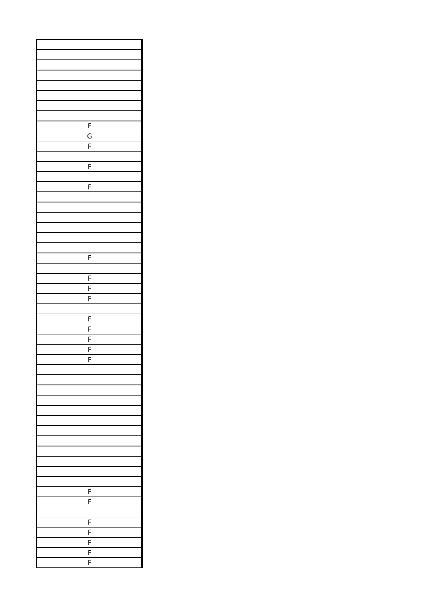| $\overline{F}$ |
|----------------|
| $rac{G}{F}$    |
|                |
|                |
| F              |
|                |
| F              |
|                |
|                |
|                |
|                |
|                |
|                |
|                |
| F              |
|                |
| $\overline{F}$ |
| $\overline{F}$ |
| F              |
|                |
| F              |
| F              |
|                |
| $\frac{F}{F}$  |
| F              |
|                |
|                |
|                |
|                |
|                |
|                |
|                |
|                |
|                |
|                |
|                |
|                |
|                |
|                |
| F              |
| F              |
|                |
| F              |
| F              |
| F              |
| F              |
| F              |
|                |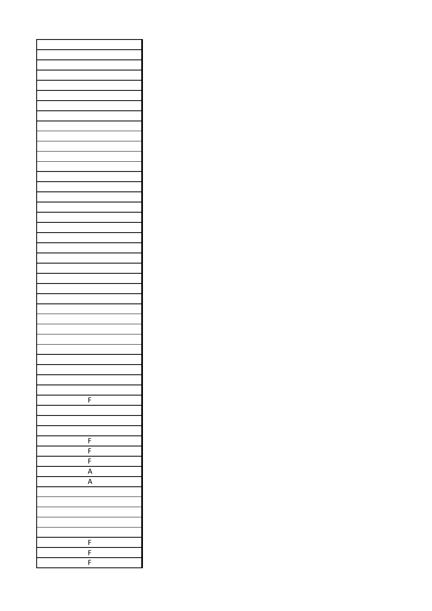| F                       |
|-------------------------|
|                         |
|                         |
|                         |
|                         |
| F                       |
| F                       |
| F                       |
| $\overline{A}$          |
| $\overline{\mathsf{A}}$ |
|                         |
|                         |
|                         |
|                         |
|                         |
| F                       |
| F                       |
|                         |
| F                       |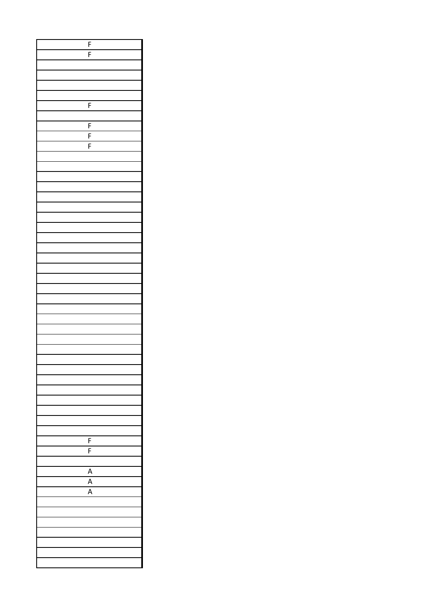| F              |
|----------------|
| F              |
|                |
|                |
|                |
|                |
|                |
| F              |
|                |
| F              |
| F              |
| F              |
|                |
|                |
|                |
|                |
|                |
|                |
|                |
|                |
|                |
|                |
|                |
|                |
|                |
|                |
|                |
|                |
|                |
|                |
|                |
|                |
|                |
|                |
|                |
|                |
|                |
|                |
|                |
|                |
|                |
|                |
|                |
|                |
| F              |
| F              |
|                |
| $\overline{A}$ |
|                |
| $\frac{A}{A}$  |
|                |
|                |
|                |
|                |
|                |
|                |
|                |
|                |
|                |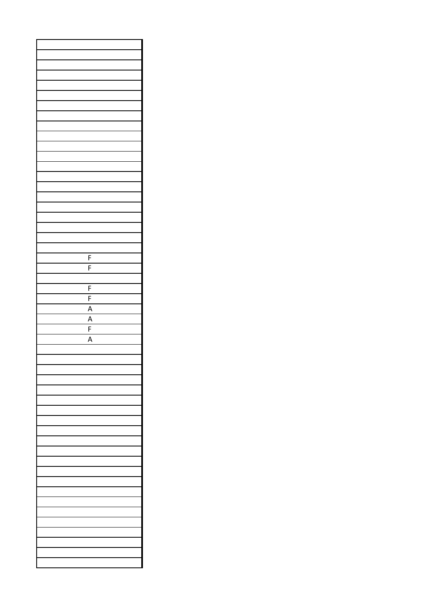| F                       |
|-------------------------|
| F                       |
|                         |
| $\overline{F}$          |
| $\overline{F}$          |
|                         |
|                         |
|                         |
|                         |
| $\frac{A}{A}$           |
| $\overline{\mathsf{A}}$ |
|                         |
|                         |
|                         |
|                         |
|                         |
|                         |
|                         |
|                         |
|                         |
|                         |
|                         |
|                         |
|                         |
|                         |
|                         |
|                         |
|                         |
|                         |
|                         |
|                         |
|                         |
|                         |